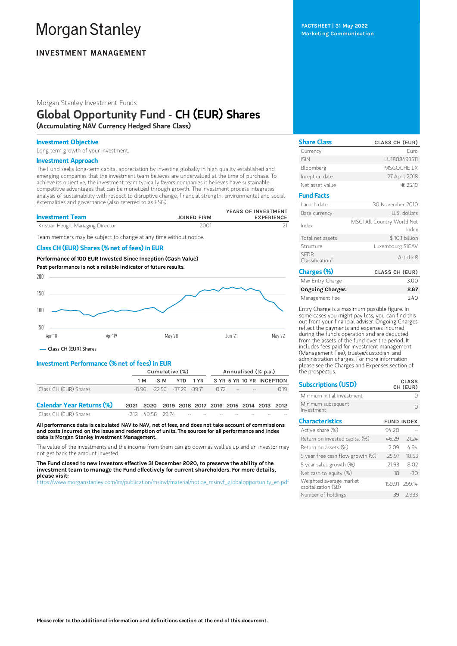# **Morgan Stanley**

## **INVESTMENT MANAGEMENT**

Morgan Stanley Investment Funds

# Global Opportunity Fund - CH (EUR) Shares

(Accumulating NAV Currency Hedged Share Class)

#### Investment Objective

Long term growth of your investment.

#### Investment Approach

The Fund seeks long-term capital appreciation by investing globally in high quality established and emerging companies that the investment team believes are undervalued at the time of purchase. To achieve its objective, the investment team typically favors companies it believes have sustainable competitive advantages that can be monetized through growth. The investment process integrates analysis of sustainability with respect to disruptive change, financial strength, environmental and social externalities and governance (also referred to as ESG).

| <b>Investment Team</b>            | <b>JOINED FIRM</b> | YEARS OF INVESTMENT<br><b>EXPERIENCE</b> |
|-----------------------------------|--------------------|------------------------------------------|
| Kristian Heugh, Managing Director | 2001               |                                          |

Team members may be subject to change at any time without notice.

#### Class CH (EUR) Shares (% net of fees) in EUR

Performance of100 EUR Invested Since Inception (Cash Value) Past performance is not a reliable indicator of future results.



Class CH (EUR) Shares

#### Investment Performance (% net of fees) in EUR

|                       | Cumulative (%) |  |  | Annualised (% p.a.) |                                         |  |                        |                                        |
|-----------------------|----------------|--|--|---------------------|-----------------------------------------|--|------------------------|----------------------------------------|
|                       | 1 M            |  |  |                     |                                         |  |                        | 3 M YTD 1 YR 3 YR 5 YR 10 YR INCEPTION |
| Class CH (EUR) Shares |                |  |  |                     | $-8.96$ $-22.56$ $-37.29$ $-39.71$ 0.72 |  | the season of the con- | 019                                    |
| $\sim$<br>__________  |                |  |  |                     |                                         |  |                        |                                        |

Calendar Year Returns (%) 2021 2020 2019 2018 2017 2016 2015 2014 2013 2012 Class CH (EUR) Shares -2.12 49.56 29.74 -- -- -- -- --

All performance data is calculated NAV to NAV, net of fees, and does not take account of commissions and costs incurred on the issue and redemption of units. The sources for all performance and Index data is Morgan Stanley Investment Management.

The value of the investments and the income from them can go down as well as up and an investor may not get back the amount invested.

The Fund closed to new investors effective 31 December 2020, to preserve the ability of the investment team to manage the Fund effectively for current shareholders. For more details, please visit:

[https://www.morganstanley.com/im/publication/msinvf/material/notice\\_msinvf\\_globalopportunity\\_en.pdf](https://www.morganstanley.com/im/publication/msinvf/material/notice_msinvf_globalopportunity_en.pdf)

FACTSHEET | 31 May 2022 Marketing Communication

| <b>Share Class</b>                         | <b>CLASS CH (EUR)</b>               |
|--------------------------------------------|-------------------------------------|
| Currency                                   | Furo                                |
| <b>ISIN</b>                                | LU1808493511                        |
| Bloomberg                                  | MSGOCHE IX                          |
| Inception date                             | 27 April 2018                       |
| Net asset value                            | € 25.19                             |
| <b>Fund Facts</b>                          |                                     |
| Launch date                                | 30 November 2010                    |
| Base currency                              | U.S. dollars                        |
| Index                                      | MSCI All Country World Net<br>Index |
| Total net assets                           | \$10.1 billion                      |
| Structure                                  | Luxembourg SICAV                    |
| <b>SFDR</b><br>Classification <sup>†</sup> | Article 8                           |
| Charges (%)                                | <b>CLASS CH (EUR)</b>               |

| Max Entry Charge       | 3.00 |
|------------------------|------|
| <b>Ongoing Charges</b> | 2.67 |
| Management Fee         | 740  |

Entry Charge is a maximum possible figure. In some cases you might pay less, you can find this out from your financial adviser. Ongoing Charges reflect the payments and expenses incurred during the fund's operation and are deducted from the assets of the fund over the period. It includes fees paid for investment management (Management Fee), trustee/custodian, and administration charges. For more information please see the Charges and Expenses section of the prospectus.

| <b>Subscriptions (USD)</b>                      |       | <b>CLASS</b><br>CH (EUR) |
|-------------------------------------------------|-------|--------------------------|
| Minimum initial investment                      |       |                          |
| Minimum subsequent<br>Investment                |       |                          |
| <b>Characteristics</b>                          |       | <b>FUND INDEX</b>        |
| Active share (%)                                | 94.20 |                          |
| Return on invested capital (%)                  | 46.29 | 21.24                    |
| Return on assets (%)                            | 209   | 4.94                     |
| 5 year free cash flow growth (%)                | 25.97 | 10.53                    |
| 5 year sales growth (%)                         | 2193  | 8.02                     |
| Net cash to equity $(\%)$                       | 18    | $-30$                    |
| Weighted average market<br>capitalization (\$B) |       | 159 91 299 14            |
| Number of holdings                              | 39    | 2.933                    |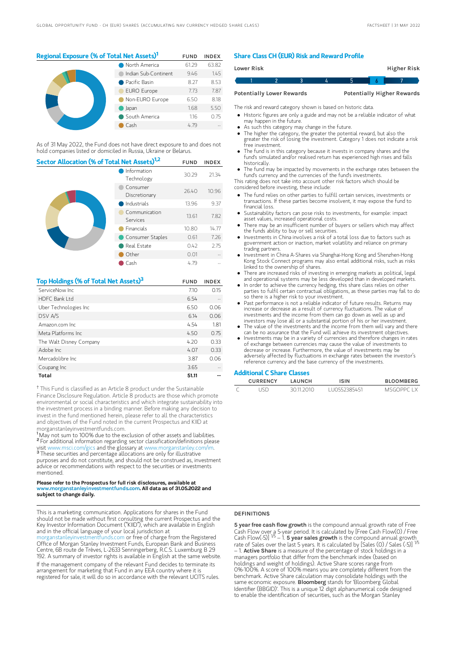### Regional Exposure (% of Total Net Assets)<sup>1</sup> FUND INDEX

|  | North America        | 61.29 | 63.82 |
|--|----------------------|-------|-------|
|  | Indian Sub-Continent | 9.46  | 1.45  |
|  | Pacific Basin        | 8.27  | 8.53  |
|  | <b>EURO Europe</b>   | 7.73  | 7.87  |
|  | Non-EURO Europe      | 6.50  | 8.18  |
|  | Japan                | 1.68  | 5.50  |
|  | South America        | 1.16  | 0.75  |
|  | Cash                 | 4 79  |       |

As of 31 May 2022, the Fund does not have direct exposure to and does not hold companies listed or domiciled in Russia, Ukraine or Belarus.

| Sector Allocation (% of Total Net Assets) <sup>1,2</sup> |                           |       | <b>INDEX</b> |
|----------------------------------------------------------|---------------------------|-------|--------------|
|                                                          | Information<br>Technology |       | 21.34        |
|                                                          | Consumer<br>Discretionary | 26.40 | 10.96        |
|                                                          | Industrials               | 13.96 | 9.37         |
|                                                          | Communication<br>Services | 13.61 | 7.82         |
|                                                          | <b>Financials</b>         | 10.80 | 14.77        |
|                                                          | Consumer Staples          | 0.61  | 7.26         |
|                                                          | Real Estate               | 0.42  | 2.75         |
|                                                          | Other                     | 0.01  |              |
|                                                          | Cash                      | 4.79  |              |

| Top Holdings (% of Total Net Assets) <sup>3</sup> | <b>FUND</b> | <b>INDEX</b> |
|---------------------------------------------------|-------------|--------------|
| ServiceNow Inc.                                   | 7.10        | 0.15         |
| HDFC Bank I td                                    | 6.54        |              |
| Uber Technologies Inc                             | 6.50        | 0.06         |
| DSV A/S                                           | 6.14        | 0.06         |
| Amazon.com Inc.                                   | 4.54        | 1.81         |
| Meta Platforms Inc.                               | 4.50        | 0.75         |
| The Walt Disney Company                           | 4.20        | 0.33         |
| Adobe Inc.                                        | 4.07        | 0.33         |
| Mercadolibre Inc.                                 | 3.87        | 0.06         |
| Coupang Inc                                       | 3.65        |              |
| Total                                             | 51.11       |              |

<sup>†</sup> This Fund is classified as an Article 8 product under the Sustainable Finance Disclosure Regulation. Article 8 products are those which promote environmental or social characteristics and which integrate sustainability into the investment process in a binding manner. Before making any decision to invest in the fund mentioned herein, please refer to all the characteristics and objectives of the Fund noted in the current Prospectus and KIID at morganstanleyinvestmentfunds.com.

<sup>1</sup>May not sum to 100% due to the exclusion of other assets and liabilities. <sup>2</sup> For additional information regarding sector classification/definitions please visit www.msci.com/gics and the glossary at www.morganstanley.com/im. <sup>3</sup> These securities and percentage allocations are only for illustrative purposes and do not constitute, and should not be construed as, investment advice or recommendations with respect to the securities or investments mentioned.

#### Please refer to the Prospectus for full risk disclosures, available at www.morganstanleyinvestmentfunds.com. All data as of 31.05.2022 and subject to change daily.

This is a marketing communication. Applications for shares in the Fund should not be made without first consulting the current Prospectus and the Key Investor Information Document ("KIID"), which are available in English and in the official language of your local jurisdiction at

organstanleyinvestmentfunds.com or free of charge from the Registered Office of Morgan Stanley Investment Funds, European Bank and Business Centre, 6B route de Trèves, L-2633 Senningerberg, R.C.S. Luxemburg B 29 192. A summary of investor rights is available in English at the same website.

If the management company of the relevant Fund decides to terminate its arrangement for marketing that Fund in any EEA country where it is registered for sale, it will do so in accordance with the relevant UCITS rules.

#### Share Class CH (EUR) Risk and Reward Profile

| Lower Risk |                                  |  |  | Higher Risk                       |  |
|------------|----------------------------------|--|--|-----------------------------------|--|
|            |                                  |  |  |                                   |  |
|            | <b>Potentially Lower Rewards</b> |  |  | <b>Potentially Higher Rewards</b> |  |

The risk and reward category shown is based on historic data.

- Historic figures are only a guide and may not be a reliable indicator of what may happen in the future.
- As such this category may change in the future.
- The higher the category, the greater the potential reward, but also the greater the risk of losing the investment. Category 1 does not indicate a risk free investment.
- The fund is in this category because it invests in company shares and the fund's simulated and/or realised return has experienced high rises and falls historically.
- The fund may be impacted by movements in the exchange rates between the fund's currency and the currencies of the fund's investments.

This rating does not take into account other risk factors which should be considered before investing, these include:

- The fund relies on other parties to fulfill certain services, investments or transactions. If these parties become insolvent, it may expose the fund to financial loss.
- Sustainability factors can pose risks to investments, for example: impact asset values, increased operational costs.
- There may be an insufficient number of buyers or sellers which may affect the funds ability to buy or sell securities.
- Investments in China involves a risk of a total loss due to factors such as government action or inaction, market volatility and reliance on primary trading partners.
- Investment in China A-Shares via Shanghai-Hong Kong and Shenzhen-Hong Kong Stock Connect programs may also entail additional risks, such as risks linked to the ownership of shares.
- There are increased risks of investing in emerging markets as political, legal and operational systems may be less developed than in developed markets.
- In order to achieve the currency hedging, this share class relies on other parties to fulfil certain contractual obligations, as these parties may fail to do so there is a higher risk to your investment.
- Past performance is not a reliable indicator of future results. Returns may increase or decrease as a result of currency fluctuations. The value of investments and the income from them can go down as well as up and investors may lose all or a substantial portion of his or her investment.
- The value of the investments and the income from them will vary and there can be no assurance that the Fund will achieve its investment objectives.
- Investments may be in a variety of currencies and therefore changes in rates of exchange between currencies may cause the value of investments to decrease or increase. Furthermore, the value of investments may be adversely affected by fluctuations in exchange rates between the investor's reference currency and the base currency of the investments.

#### Additional C Share Classes

| <b>CURRENCY</b> | LAUNCH   | ISIN         | <b>BLOOMBERG</b> |
|-----------------|----------|--------------|------------------|
| `ISD.           | 30112010 | LU0552385451 | MSGOPPC I X      |

#### DEFINITIONS

5 year free cash flow growth is the compound annual growth rate of Free Cash Flow over a 5-year period. It is calculated by [Free Cash Flow(0) / Free<br>Cash Flow(-5)] <sup>1/5</sup> – 1. **5 year saIes growth** is the compound annual growth\_ rate of Sales over the last 5 years. It is calculated by [Sales (0) / Sales (-5)]  $-$  1. Active Share is a measure of the percentage of stock holdings in a managers portfolio that differ from the benchmark index (based on holdings and weight of holdings). Active Share scores range from 0%-100%. A score of 100% means you are completely different from the benchmark. Active Share calculation may consolidate holdings with the same economic exposure. Bloomberg stands for 'Bloomberg Global Identifier (BBGID)'. This is a unique 12 digit alphanumerical code designed to enable the identification of securities, such as the Morgan Stanley 1/5 1/5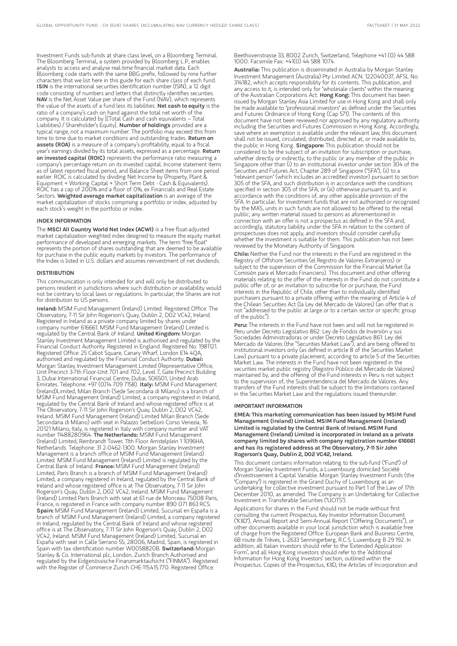Investment Funds sub-funds at share class level, on a Bloomberg Terminal. The Bloomberg Terminal, a system provided by Bloomberg L.P., enables analysts to access and analyse real-time financial market data. Each Bloomberg code starts with the same BBG prefix, followed by nine further characters that we list here in this guide for each share class of each fund. ISIN is the international securities identification number (ISIN), a 12 digit code consisting of numbers and letters that distinctly identifies securities. NAV is the Net Asset Value per share of the Fund (NAV), which represents the value of the assets of a fund less its liabilities. Net cash to equity is the ratio of a company's cash on hand against the total net worth of the company. It is calculated by [(Total Cash and cash equivalents – Total Liabilities) / Shareholder's Equity]. Number of holdings provided are a typical range, not a maximum number. The portfolio may exceed this from time to time due to market conditions and outstanding trades. **Return on** assets (ROA) is a measure of a company's profitability, equal to a fiscal year's earnings divided by its total assets, expressed as a percentage. **Return** on invested capital (ROIC) represents the performance ratio measuring a company's percentage return on its invested capital. Income statement items as of latest reported fiscal period, and Balance Sheet items from one period earlier. ROIC is calculated by dividing Net Income by (Property, Plant & Equipment + Working Capital + Short Term Debt - Cash & Equivalents). ROIC has a cap of 200% and a floor of 0%, ex Financials and Real Estate Sectors. Weighted average market capitalization is an average of the market capitalization of stocks comprising a portfolio or index, adjusted by each stock's weight in the portfolio or index.

#### INDEX INFORMATION

The MSCI All Country World Net Index (ACWI) is a free float-adjusted market capitalization weighted index designed to measure the equity market performance of developed and emerging markets. The term "free float" represents the portion of shares outstanding that are deemed to be available for purchase in the public equity markets by investors. The performance of the Index is listed in U.S. dollars and assumes reinvestment of net dividends.

#### **DISTRIBUTION**

This communication is only intended for and will only be distributed to persons resident in jurisdictions where such distribution or availability would not be contrary to local laws or regulations. In particular, the Shares are not for distribution to US persons.

Ireland: MSIM Fund Management (Ireland) Limited. Registered Office: The Observatory, 7-11 Sir John Rogerson's Quay, Dublin 2, D02 VC42, Ireland. Registered in Ireland as a private company limited by shares under company number 616661. MSIM Fund Management (Ireland) Limited is regulated by the Central Bank of Ireland. United Kingdom: Morgan Stanley Investment Management Limited is authorised and regulated by the Financial Conduct Authority. Registered in England. Registered No. 1981121. Registered Office: 25 Cabot Square, Canary Wharf, London E14 4QA, authorised and regulated by the Financial Conduct Authority. Dubai: Morgan Stanley Investment Management Limited (Representative Office, Unit Precinct 3-7th Floor-Unit 701 and 702, Level 7, Gate Precinct Building 3, Dubai International Financial Centre, Dubai, 506501, United Arab Emirates. Telephone: +97 (0)14 709 7158). Italy: MSIM Fund Management (Ireland)Limited, Milan Branch (Sede Secondaria di Milano) is a branch of MSIM Fund Management (Ireland) Limited, a company registered in Ireland, regulated by the Central Bank of Ireland and whose registered office is at The Observatory, 7-11 Sir John Rogerson's Quay, Dublin 2, D02 VC42, Ireland. MSIM Fund Management (Ireland) Limited Milan Branch (Sede Secondaria di Milano) with seat in Palazzo Serbelloni Corso Venezia, 16 20121 Milano, Italy, is registered in Italy with company number and VAT number 11488280964. The Netherlands: MSIM Fund Management (Ireland) Limited, Rembrandt Tower, 11th Floor Amstelplein 1 1096HA, Netherlands. Telephone: 31 2-0462-1300. Morgan Stanley Investment Management is a branch office of MSIM Fund Management (Ireland) Limited. MSIM Fund Management (Ireland) Limited is regulated by the Central Bank of Ireland. France: MSIM Fund Management (Ireland) Limited, Paris Branch is a branch of MSIM Fund Management (Ireland) Limited, a company registered in Ireland, regulated by the Central Bank of Ireland and whose registered office is at The Observatory, 7-11 Sir John Rogerson's Quay, Dublin 2, D02 VC42, Ireland. MSIM Fund Management (Ireland) Limited Paris Branch with seat at 61 rue de Monceau 75008 Paris, France, is registered in France with company number 890 071 863 RCS. Spain: MSIM Fund Management (Ireland) Limited, Sucursal en España is a branch of MSIM Fund Management (Ireland) Limited, a company registered in Ireland, regulated by the Central Bank of Ireland and whose registered office is at The Observatory, 7-11 Sir John Rogerson's Quay, Dublin 2, D02 VC42, Ireland. MSIM Fund Management (Ireland) Limited, Sucursal en España with seat in Calle Serrano 55, 28006, Madrid, Spain, is registered in Spain with tax identification number W0058820B. Switzerland: Morgan Stanley & Co. International plc, London, Zurich Branch Authorised and regulated by the Eidgenössische Finanzmarktaufsicht ("FINMA"). Registered with the Register of Commerce Zurich CHE-115.415.770. Registered Office:

Beethovenstrasse 33, 8002 Zurich, Switzerland, Telephone +41 (0) 44 588 1000. Facsimile Fax: +41(0) 44 588 1074.

Australia: This publication is disseminated in Australia by Morgan Stanley Investment Management (Australia) Pty Limited ACN: 122040037, AFSL No. 314182, which accepts responsibility for its contents. This publication, and any access to it, is intended only for "wholesale clients" within the meaning of the Australian Corporations Act. Hong Kong: This document has been issued by Morgan Stanley Asia Limited for use in Hong Kong and shall only be made available to "professional investors" as defined under the Securities and Futures Ordinance of Hong Kong (Cap 571). The contents of this document have not been reviewed nor approved by any regulatory authority including the Securities and Futures Commission in Hong Kong. Accordingly, save where an exemption is available under the relevant law, this document shall not be issued, circulated, distributed, directed at, or made available to, the public in Hong Kong. Singapore: This publication should not be considered to be the subject of an invitation for subscription or purchase, whether directly or indirectly, to the public or any member of the public in Singapore other than (i) to an institutional investor under section 304 of the Securities and Futures Act, Chapter 289 of Singapore ("SFA"), (ii) to a "relevant person" (which includes an accredited investor) pursuant to section 305 of the SFA, and such distribution is in accordance with the conditions specified in section 305 of the SFA; or (iii) otherwise pursuant to, and in accordance with the conditions of, any other applicable provision of the SFA. In particular, for investment funds that are not authorized or recognized by the MAS, units in such funds are not allowed to be offered to the retail public; any written material issued to persons as aforementioned in connection with an offer is not a prospectus as defined in the SFA and, accordingly, statutory liability under the SFA in relation to the content of prospectuses does not apply, and investors should consider carefully whether the investment is suitable for them. This publication has not been reviewed by the Monetary Authority of Singapore.

Chile: Neither the Fund nor the interests in the Fund are registered in the Registry of Offshore Securities (el Registro de Valores Extranjeros) or subject to the supervision of the Commission for the Financial Market (la Comisión para el Mercado Financiero). This document and other offering materials relating to the offer of the interests in the Fund do not constitute a public offer of, or an invitation to subscribe for or purchase, the Fund interests in the Republic of Chile, other than to individually identified purchasers pursuant to a private offering within the meaning of Article 4 of the Chilean Securities Act (la Ley del Mercado de Valores) (an offer that is not "addressed to the public at large or to a certain sector or specific group of the public").

Peru: The interests in the Fund have not been and will not be registered in Peru under Decreto Legislativo 862: Ley de Fondos de Inversión y sus Sociedades Administradoras or under Decreto Legislativo 861: Ley del Mercado de Valores (the "Securities Market Law"), and are being offered to institutional investors only (as defined in article 8 of the Securities Market Law) pursuant to a private placement, according to article 5 of the Securities Market Law. The interests in the Fund have not been registered in the securities market public registry (Registro Público del Mercado de Valores) maintained by, and the offering of the Fund interests in Peru is not subject to the supervision of, the Superintendencia del Mercado de Valores. Any transfers of the Fund interests shall be subject to the limitations contained in the Securities Market Law and the regulations issued thereunder.

#### IMPORTANT INFORMATION

EMEA: This marketing communication has been issued by MSIM Fund Management (Ireland) Limited. MSIM Fund Management (Ireland) Limited is regulated by the Central Bank of Ireland. MSIM Fund Management (Ireland) Limited is incorporated in Ireland as a private company limited by shares with company registration number 616661 and has its registered address at The Observatory, 7-11 Sir John Rogerson's Quay, Dublin 2, D02 VC42, Ireland.

This document contains information relating to the sub-fund ("Fund") of Morgan Stanley Investment Funds, a Luxembourg domiciled Société d'Investissement à Capital Variable. Morgan Stanley Investment Funds (the "Company") is registered in the Grand Duchy of Luxembourg as an undertaking for collective investment pursuant to Part 1 of the Law of 17th December 2010, as amended. The Company is an Undertaking for Collective Investment in Transferable Securities ("UCITS").

Applications for shares in the Fund should not be made without first consulting the current Prospectus, Key Investor Information Document ("KIID"), Annual Report and Semi-Annual Report ("Offering Documents"), or other documents available in your local jurisdiction which is available free of charge from the Registered Office: European Bank and Business Centre, 6B route de Trèves, L-2633 Senningerberg, R.C.S. Luxemburg B 29 192. In addition, all Italian investors should refer to the 'Extended Application Form', and all Hong Kong investors should refer to the 'Additional Information for Hong Kong Investors' section, outlined within the Prospectus. Copies of the Prospectus, KIID, the Articles of Incorporation and